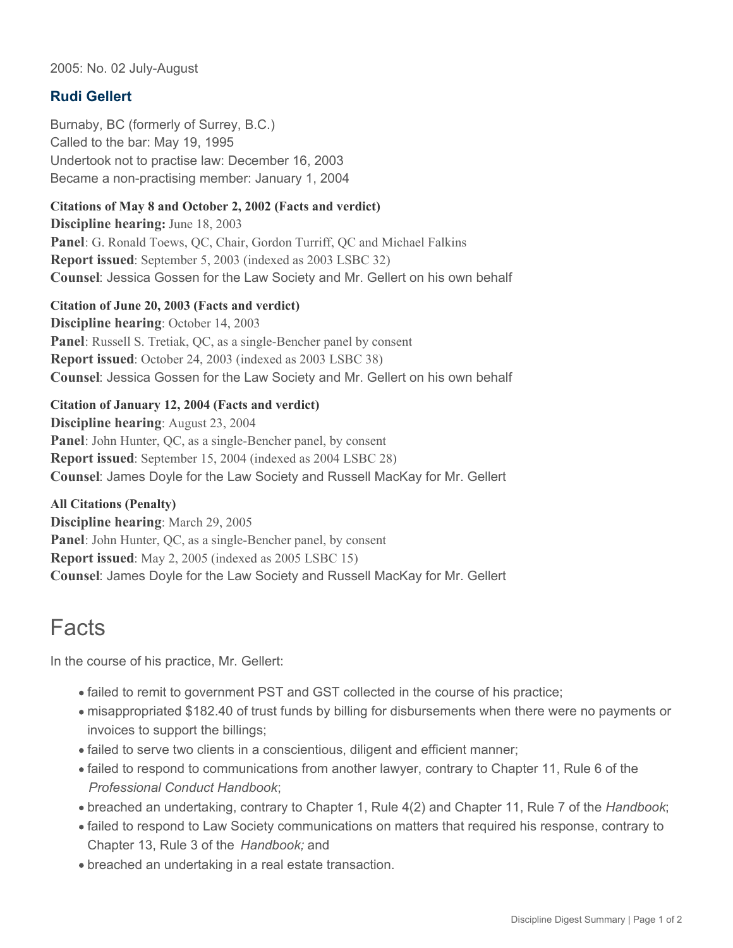2005: No. 02 July-August

### **Rudi Gellert**

Burnaby, BC (formerly of Surrey, B.C.) Called to the bar: May 19, 1995 Undertook not to practise law: December 16, 2003 Became a non-practising member: January 1, 2004

#### **Citations of May 8 and October 2, 2002 (Facts and verdict)**

**Discipline hearing:** June 18, 2003 **Panel**: G. Ronald Toews, QC, Chair, Gordon Turriff, QC and Michael Falkins **Report issued**: September 5, 2003 (indexed as 2003 LSBC 32) **Counsel**: Jessica Gossen for the Law Society and Mr. Gellert on his own behalf

#### **Citation of June 20, 2003 (Facts and verdict)**

**Discipline hearing**: October 14, 2003 **Panel**: Russell S. Tretiak, QC, as a single-Bencher panel by consent **Report issued**: October 24, 2003 (indexed as 2003 LSBC 38) **Counsel**: Jessica Gossen for the Law Society and Mr. Gellert on his own behalf

#### **Citation of January 12, 2004 (Facts and verdict)**

**Discipline hearing**: August 23, 2004 **Panel**: John Hunter, QC, as a single-Bencher panel, by consent **Report issued**: September 15, 2004 (indexed as 2004 LSBC 28) **Counsel**: James Doyle for the Law Society and Russell MacKay for Mr. Gellert

**All Citations (Penalty) Discipline hearing**: March 29, 2005 **Panel**: John Hunter, QC, as a single-Bencher panel, by consent **Report issued**: May 2, 2005 (indexed as 2005 LSBC 15) **Counsel**: James Doyle for the Law Society and Russell MacKay for Mr. Gellert

### Facts

In the course of his practice, Mr. Gellert:

- failed to remit to government PST and GST collected in the course of his practice;
- misappropriated \$182.40 of trust funds by billing for disbursements when there were no payments or invoices to support the billings;
- failed to serve two clients in a conscientious, diligent and efficient manner;
- failed to respond to communications from another lawyer, contrary to Chapter 11, Rule 6 of the *Professional Conduct Handbook*;
- breached an undertaking, contrary to Chapter 1, Rule 4(2) and Chapter 11, Rule 7 of the *Handbook*;
- failed to respond to Law Society communications on matters that required his response, contrary to Chapter 13, Rule 3 of the *Handbook;* and
- breached an undertaking in a real estate transaction.